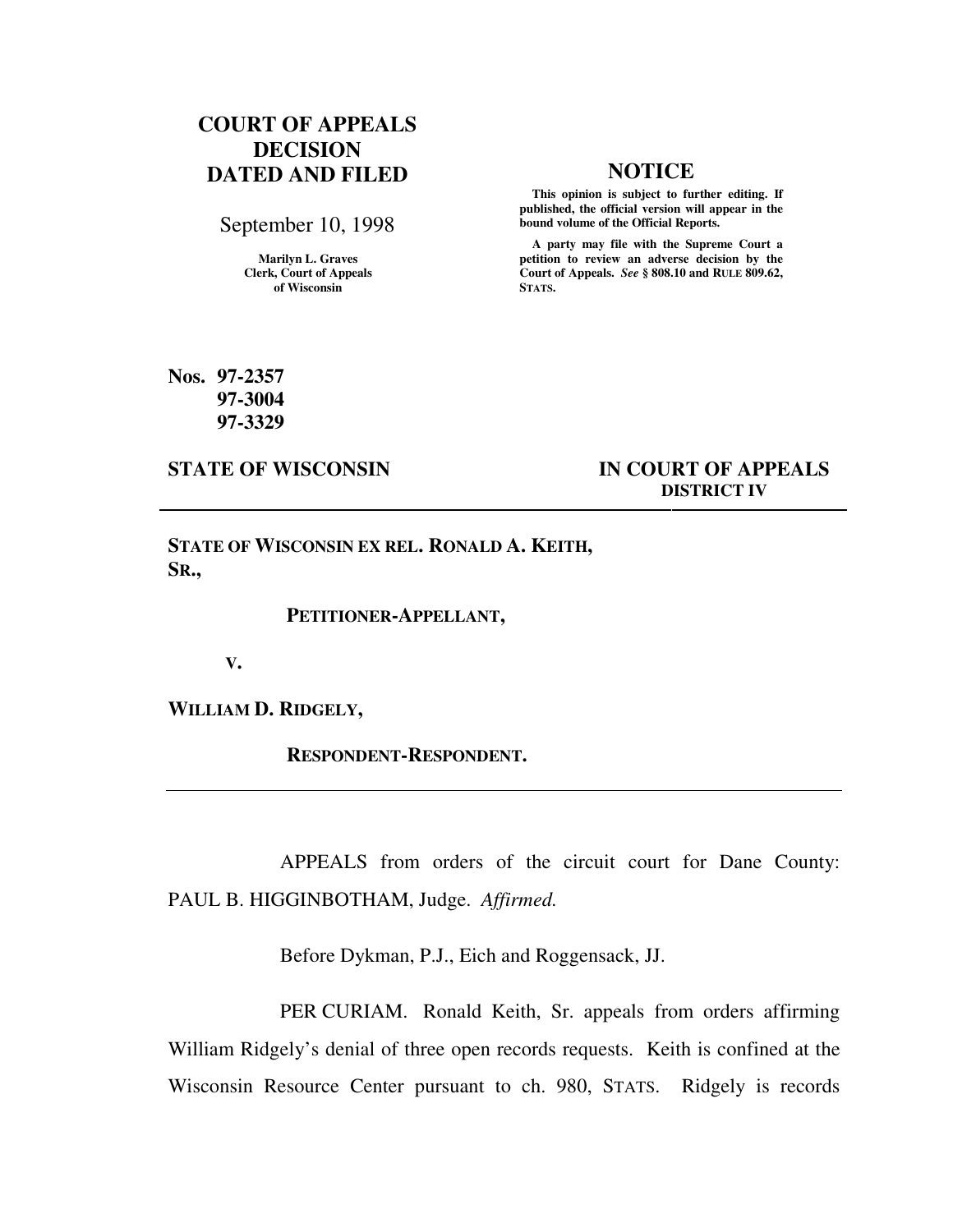# **COURT OF APPEALS DECISION DATED AND FILED NOTICE**

September 10, 1998

**Marilyn L. Graves Clerk, Court of Appeals of Wisconsin** 

 **This opinion is subject to further editing. If published, the official version will appear in the bound volume of the Official Reports.**

 **A party may file with the Supreme Court a petition to review an adverse decision by the Court of Appeals.** *See* **§ 808.10 and RULE 809.62, STATS.** 

**Nos. 97-2357 97-3004 97-3329** 

**STATE OF WISCONSIN IN COURT OF APPEALS DISTRICT IV** 

**STATE OF WISCONSIN EX REL. RONALD A. KEITH, SR.,** 

 **PETITIONER-APPELLANT,** 

 **V.** 

**WILLIAM D. RIDGELY,** 

 **RESPONDENT-RESPONDENT.** 

APPEALS from orders of the circuit court for Dane County: PAUL B. HIGGINBOTHAM, Judge. *Affirmed.*

Before Dykman, P.J., Eich and Roggensack, JJ.

PER CURIAM. Ronald Keith, Sr. appeals from orders affirming William Ridgely's denial of three open records requests. Keith is confined at the Wisconsin Resource Center pursuant to ch. 980, STATS. Ridgely is records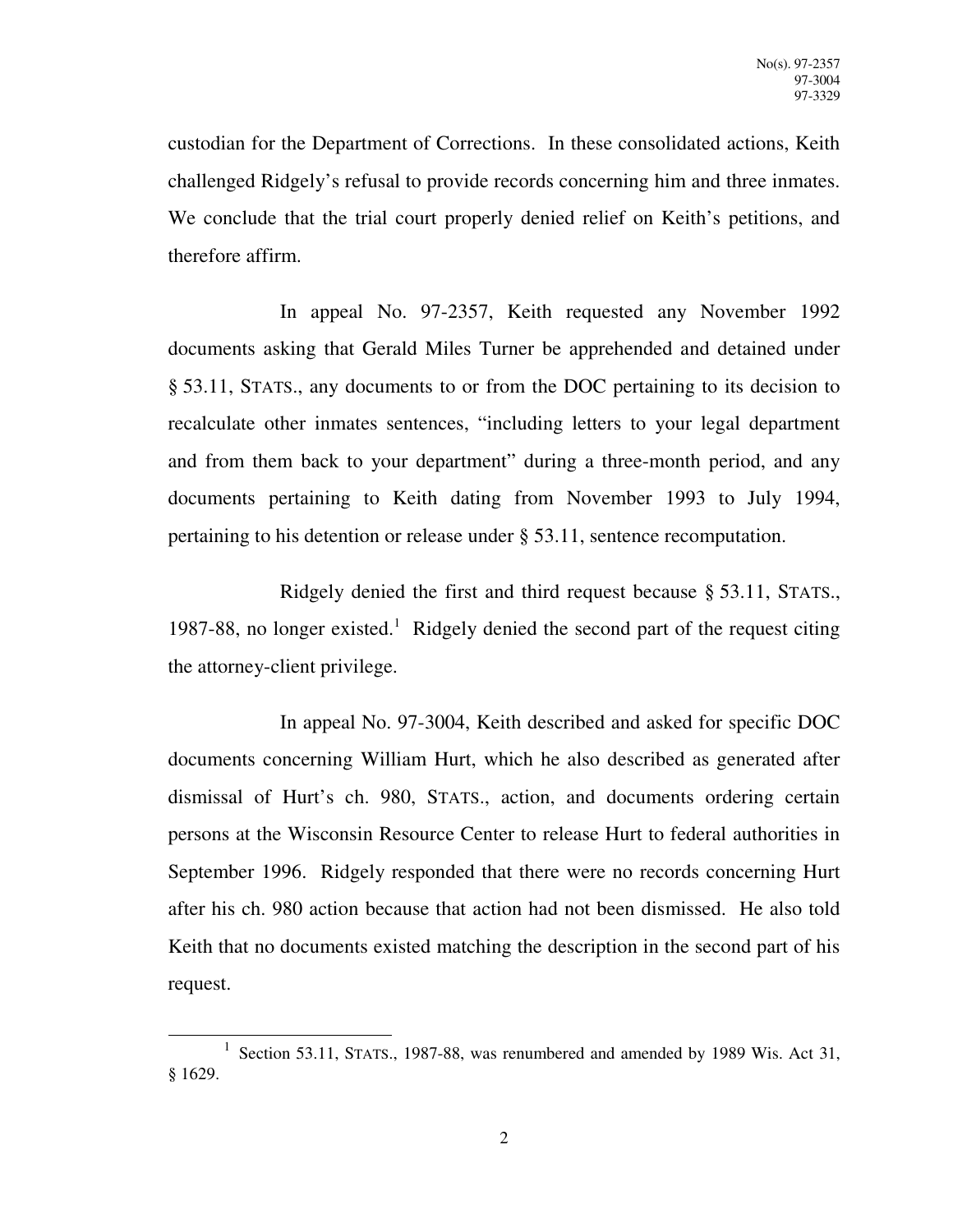custodian for the Department of Corrections. In these consolidated actions, Keith challenged Ridgely's refusal to provide records concerning him and three inmates. We conclude that the trial court properly denied relief on Keith's petitions, and therefore affirm.

In appeal No. 97-2357, Keith requested any November 1992 documents asking that Gerald Miles Turner be apprehended and detained under § 53.11, STATS., any documents to or from the DOC pertaining to its decision to recalculate other inmates sentences, "including letters to your legal department and from them back to your department" during a three-month period, and any documents pertaining to Keith dating from November 1993 to July 1994, pertaining to his detention or release under § 53.11, sentence recomputation.

Ridgely denied the first and third request because § 53.11, STATS., 1987-88, no longer existed.<sup>1</sup> Ridgely denied the second part of the request citing the attorney-client privilege.

In appeal No. 97-3004, Keith described and asked for specific DOC documents concerning William Hurt, which he also described as generated after dismissal of Hurt's ch. 980, STATS., action, and documents ordering certain persons at the Wisconsin Resource Center to release Hurt to federal authorities in September 1996. Ridgely responded that there were no records concerning Hurt after his ch. 980 action because that action had not been dismissed. He also told Keith that no documents existed matching the description in the second part of his request.

-

<sup>&</sup>lt;sup>1</sup> Section 53.11, STATS., 1987-88, was renumbered and amended by 1989 Wis. Act 31, § 1629.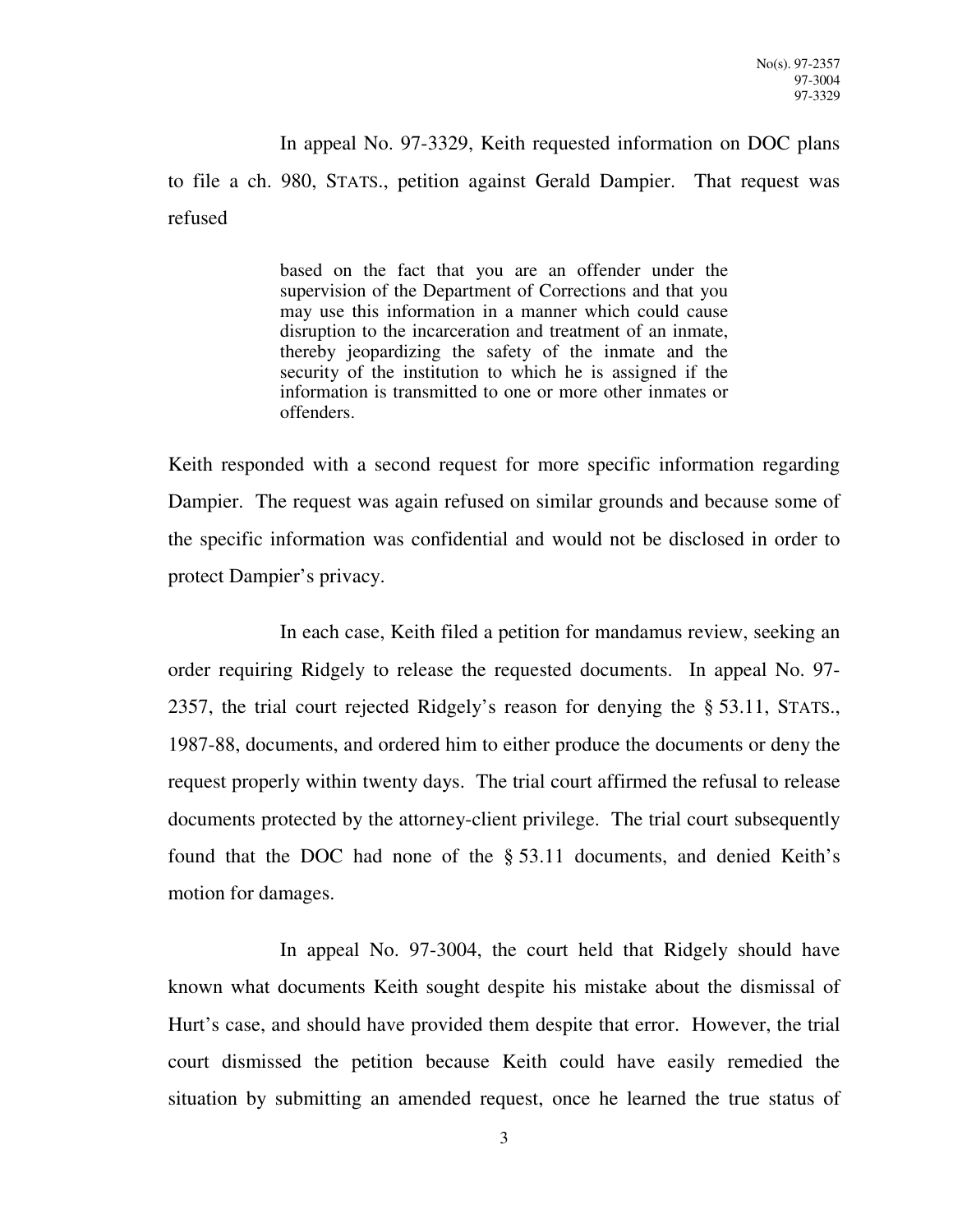In appeal No. 97-3329, Keith requested information on DOC plans to file a ch. 980, STATS., petition against Gerald Dampier. That request was refused

> based on the fact that you are an offender under the supervision of the Department of Corrections and that you may use this information in a manner which could cause disruption to the incarceration and treatment of an inmate, thereby jeopardizing the safety of the inmate and the security of the institution to which he is assigned if the information is transmitted to one or more other inmates or offenders.

Keith responded with a second request for more specific information regarding Dampier. The request was again refused on similar grounds and because some of the specific information was confidential and would not be disclosed in order to protect Dampier's privacy.

In each case, Keith filed a petition for mandamus review, seeking an order requiring Ridgely to release the requested documents. In appeal No. 97- 2357, the trial court rejected Ridgely's reason for denying the § 53.11, STATS., 1987-88, documents, and ordered him to either produce the documents or deny the request properly within twenty days. The trial court affirmed the refusal to release documents protected by the attorney-client privilege. The trial court subsequently found that the DOC had none of the § 53.11 documents, and denied Keith's motion for damages.

In appeal No. 97-3004, the court held that Ridgely should have known what documents Keith sought despite his mistake about the dismissal of Hurt's case, and should have provided them despite that error. However, the trial court dismissed the petition because Keith could have easily remedied the situation by submitting an amended request, once he learned the true status of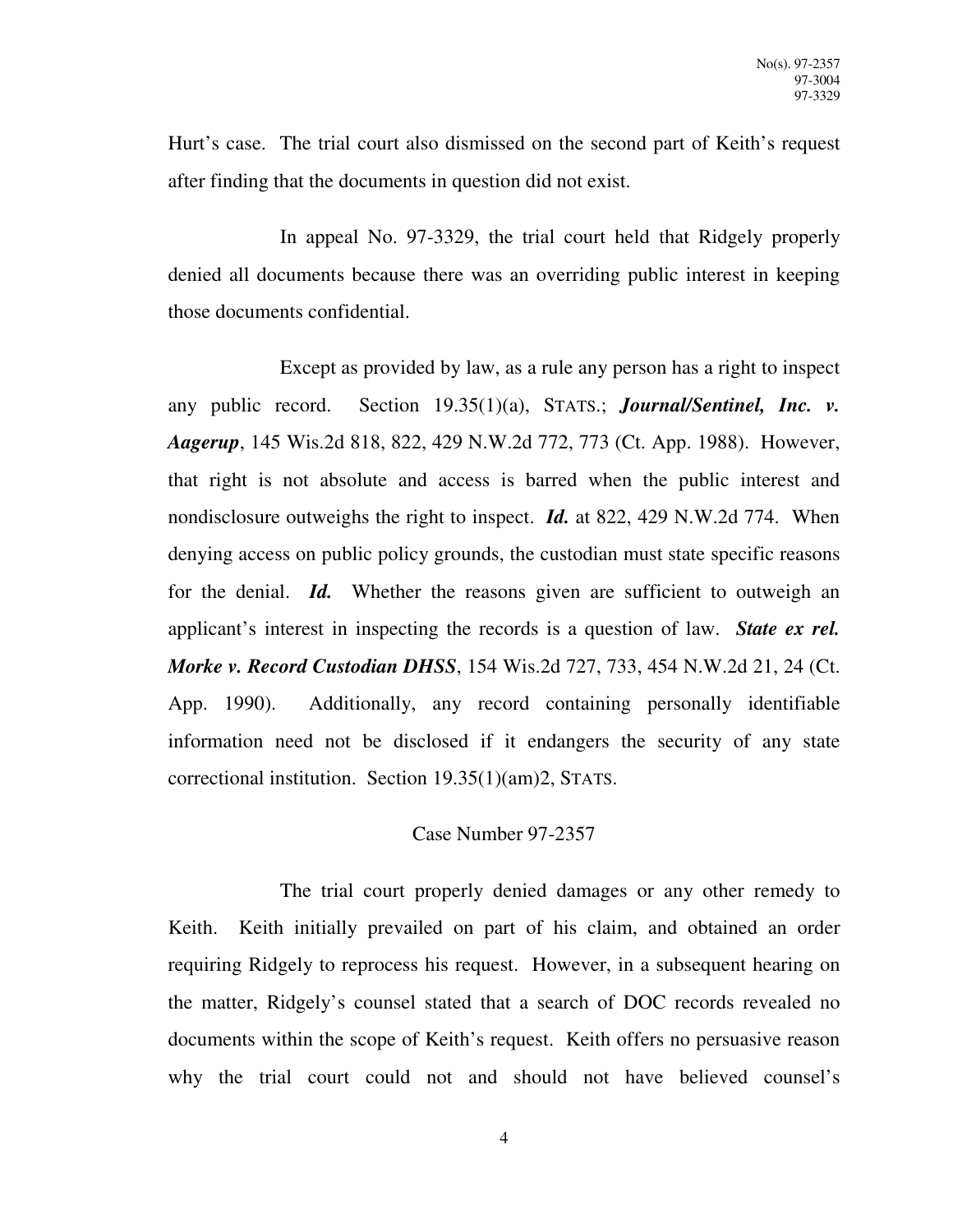Hurt's case. The trial court also dismissed on the second part of Keith's request after finding that the documents in question did not exist.

In appeal No. 97-3329, the trial court held that Ridgely properly denied all documents because there was an overriding public interest in keeping those documents confidential.

Except as provided by law, as a rule any person has a right to inspect any public record. Section 19.35(1)(a), STATS.; *Journal/Sentinel, Inc. v. Aagerup*, 145 Wis.2d 818, 822, 429 N.W.2d 772, 773 (Ct. App. 1988). However, that right is not absolute and access is barred when the public interest and nondisclosure outweighs the right to inspect. *Id.* at 822, 429 N.W.2d 774. When denying access on public policy grounds, the custodian must state specific reasons for the denial. *Id.* Whether the reasons given are sufficient to outweigh an applicant's interest in inspecting the records is a question of law. *State ex rel. Morke v. Record Custodian DHSS*, 154 Wis.2d 727, 733, 454 N.W.2d 21, 24 (Ct. App. 1990). Additionally, any record containing personally identifiable information need not be disclosed if it endangers the security of any state correctional institution. Section 19.35(1)(am)2, STATS.

# Case Number 97-2357

The trial court properly denied damages or any other remedy to Keith. Keith initially prevailed on part of his claim, and obtained an order requiring Ridgely to reprocess his request. However, in a subsequent hearing on the matter, Ridgely's counsel stated that a search of DOC records revealed no documents within the scope of Keith's request. Keith offers no persuasive reason why the trial court could not and should not have believed counsel's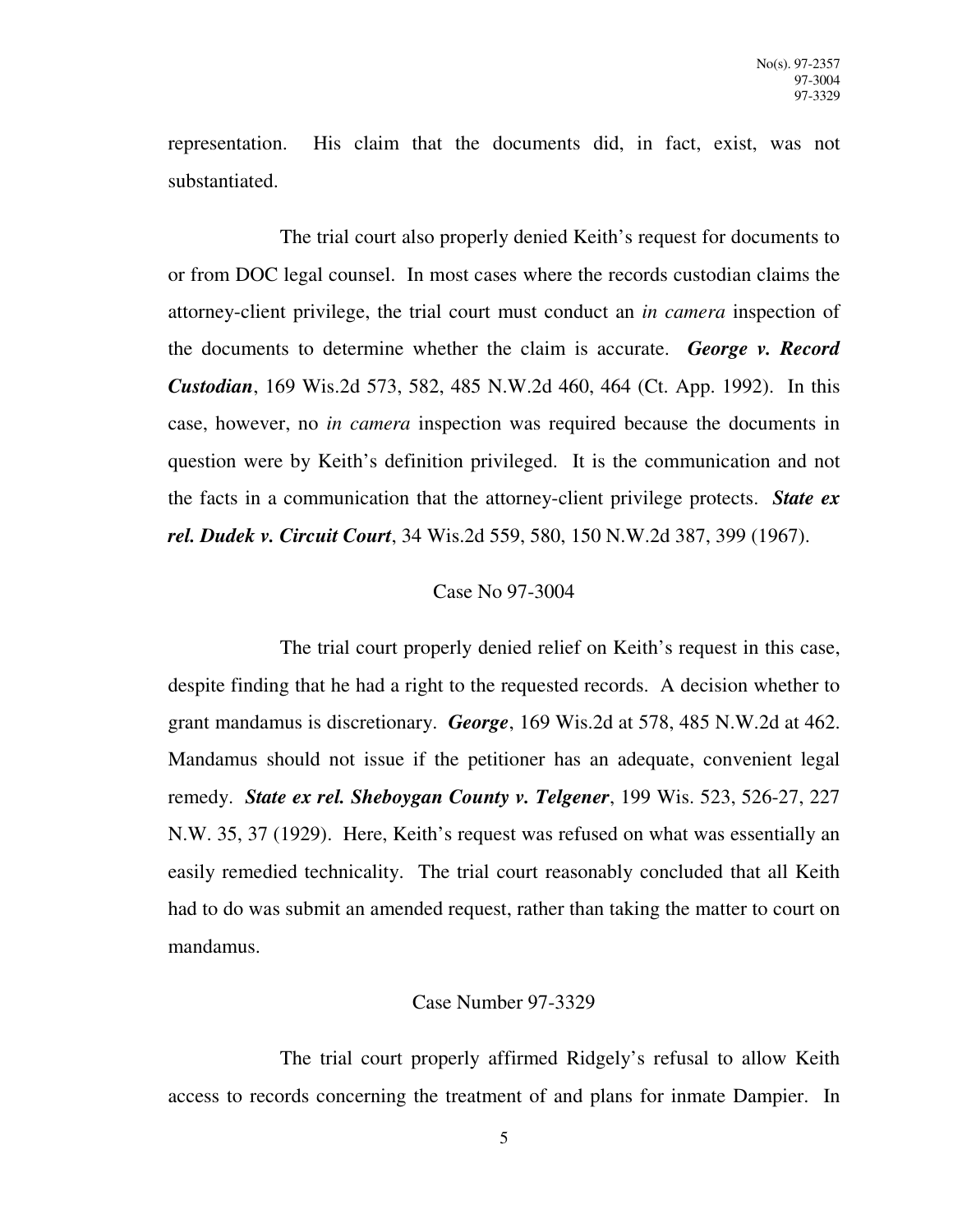representation. His claim that the documents did, in fact, exist, was not substantiated.

The trial court also properly denied Keith's request for documents to or from DOC legal counsel. In most cases where the records custodian claims the attorney-client privilege, the trial court must conduct an *in camera* inspection of the documents to determine whether the claim is accurate. *George v. Record Custodian*, 169 Wis.2d 573, 582, 485 N.W.2d 460, 464 (Ct. App. 1992). In this case, however, no *in camera* inspection was required because the documents in question were by Keith's definition privileged. It is the communication and not the facts in a communication that the attorney-client privilege protects. *State ex rel. Dudek v. Circuit Court*, 34 Wis.2d 559, 580, 150 N.W.2d 387, 399 (1967).

## Case No 97-3004

The trial court properly denied relief on Keith's request in this case, despite finding that he had a right to the requested records. A decision whether to grant mandamus is discretionary. *George*, 169 Wis.2d at 578, 485 N.W.2d at 462. Mandamus should not issue if the petitioner has an adequate, convenient legal remedy. *State ex rel. Sheboygan County v. Telgener*, 199 Wis. 523, 526-27, 227 N.W. 35, 37 (1929). Here, Keith's request was refused on what was essentially an easily remedied technicality. The trial court reasonably concluded that all Keith had to do was submit an amended request, rather than taking the matter to court on mandamus.

## Case Number 97-3329

The trial court properly affirmed Ridgely's refusal to allow Keith access to records concerning the treatment of and plans for inmate Dampier. In